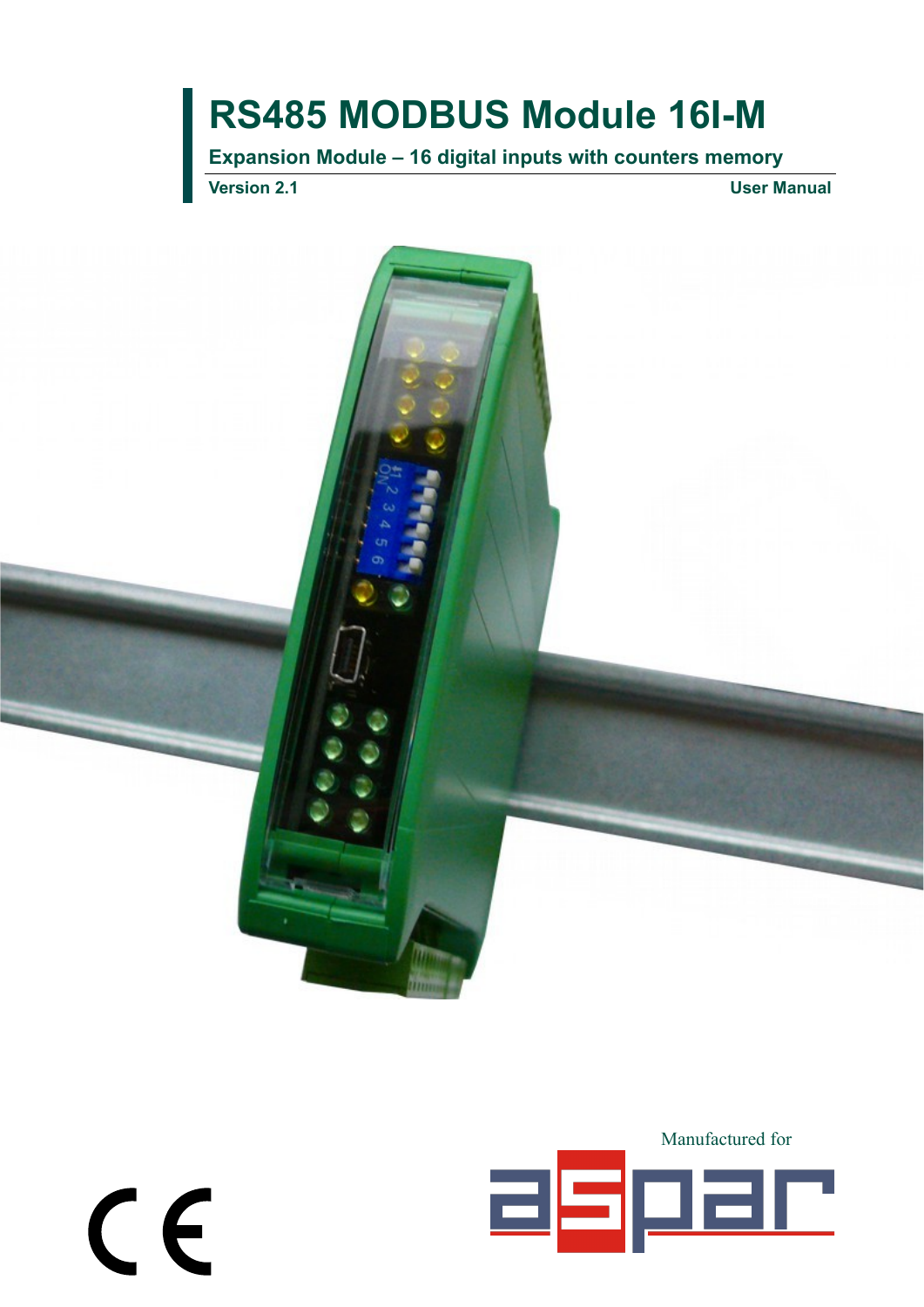**Expansion Module – 16 digital inputs with counters memory**

**Version 2.1 User Manual**

 $c \in$ 



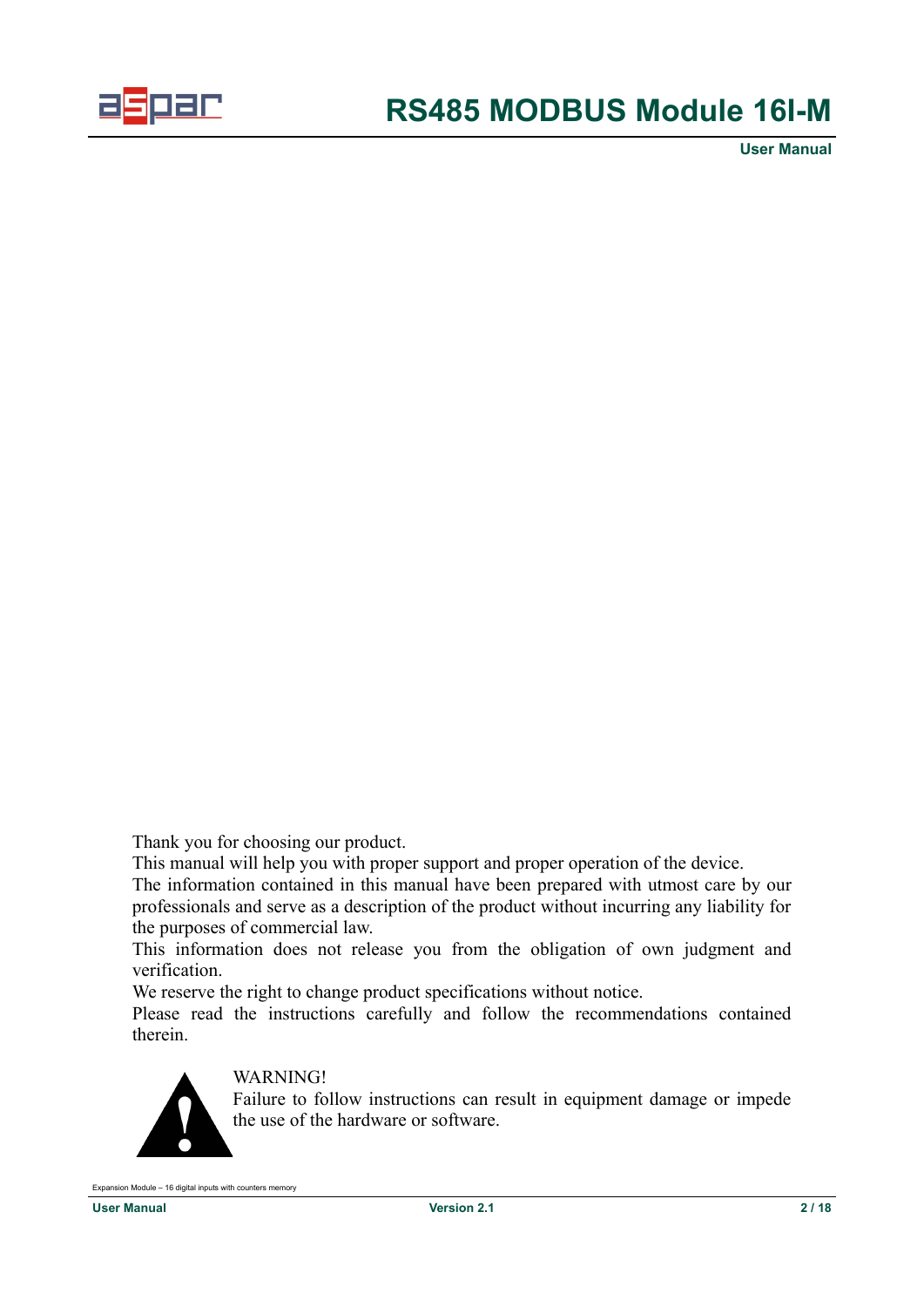

Thank you for choosing our product.

This manual will help you with proper support and proper operation of the device.

The information contained in this manual have been prepared with utmost care by our professionals and serve as a description of the product without incurring any liability for the purposes of commercial law.

This information does not release you from the obligation of own judgment and verification.

We reserve the right to change product specifications without notice.

Please read the instructions carefully and follow the recommendations contained therein.



### WARNING!

Failure to follow instructions can result in equipment damage or impede the use of the hardware or software.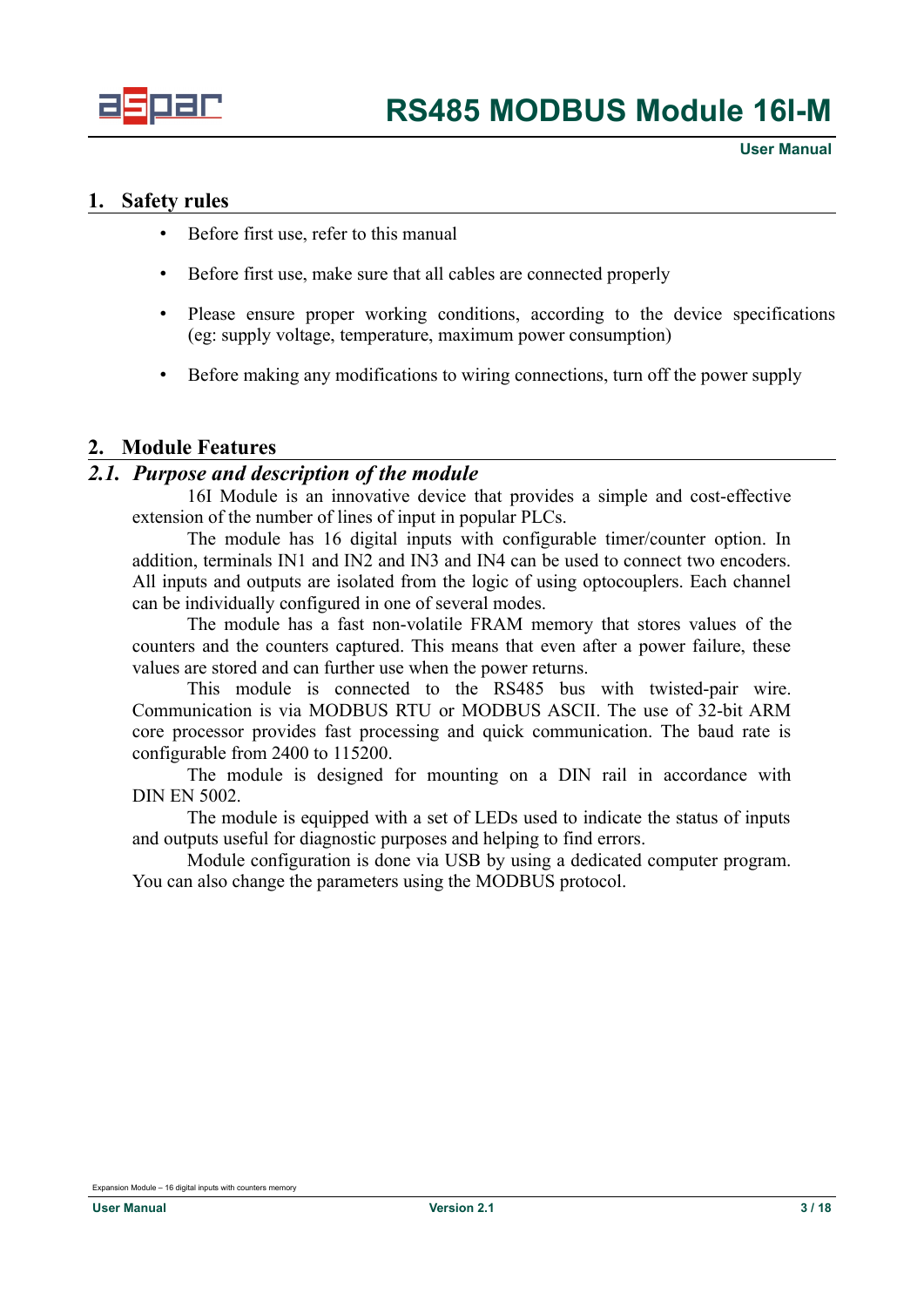

#### <span id="page-2-2"></span>**1. Safety rules**

- Before first use, refer to this manual
- Before first use, make sure that all cables are connected properly
- Please ensure proper working conditions, according to the device specifications (eg: supply voltage, temperature, maximum power consumption)
- Before making any modifications to wiring connections, turn off the power supply

### <span id="page-2-1"></span>**2. Module Features**

#### *2.1. Purpose and description of the module*

<span id="page-2-0"></span>16I Module is an innovative device that provides a simple and cost-effective extension of the number of lines of input in popular PLCs.

The module has 16 digital inputs with configurable timer/counter option. In addition, terminals IN1 and IN2 and IN3 and IN4 can be used to connect two encoders. All inputs and outputs are isolated from the logic of using optocouplers. Each channel can be individually configured in one of several modes.

The module has a fast non-volatile FRAM memory that stores values of the counters and the counters captured. This means that even after a power failure, these values are stored and can further use when the power returns.

This module is connected to the RS485 bus with twisted-pair wire. Communication is via MODBUS RTU or MODBUS ASCII. The use of 32-bit ARM core processor provides fast processing and quick communication. The baud rate is configurable from 2400 to 115200.

The module is designed for mounting on a DIN rail in accordance with DIN EN 5002.

The module is equipped with a set of LEDs used to indicate the status of inputs and outputs useful for diagnostic purposes and helping to find errors.

Module configuration is done via USB by using a dedicated computer program. You can also change the parameters using the MODBUS protocol.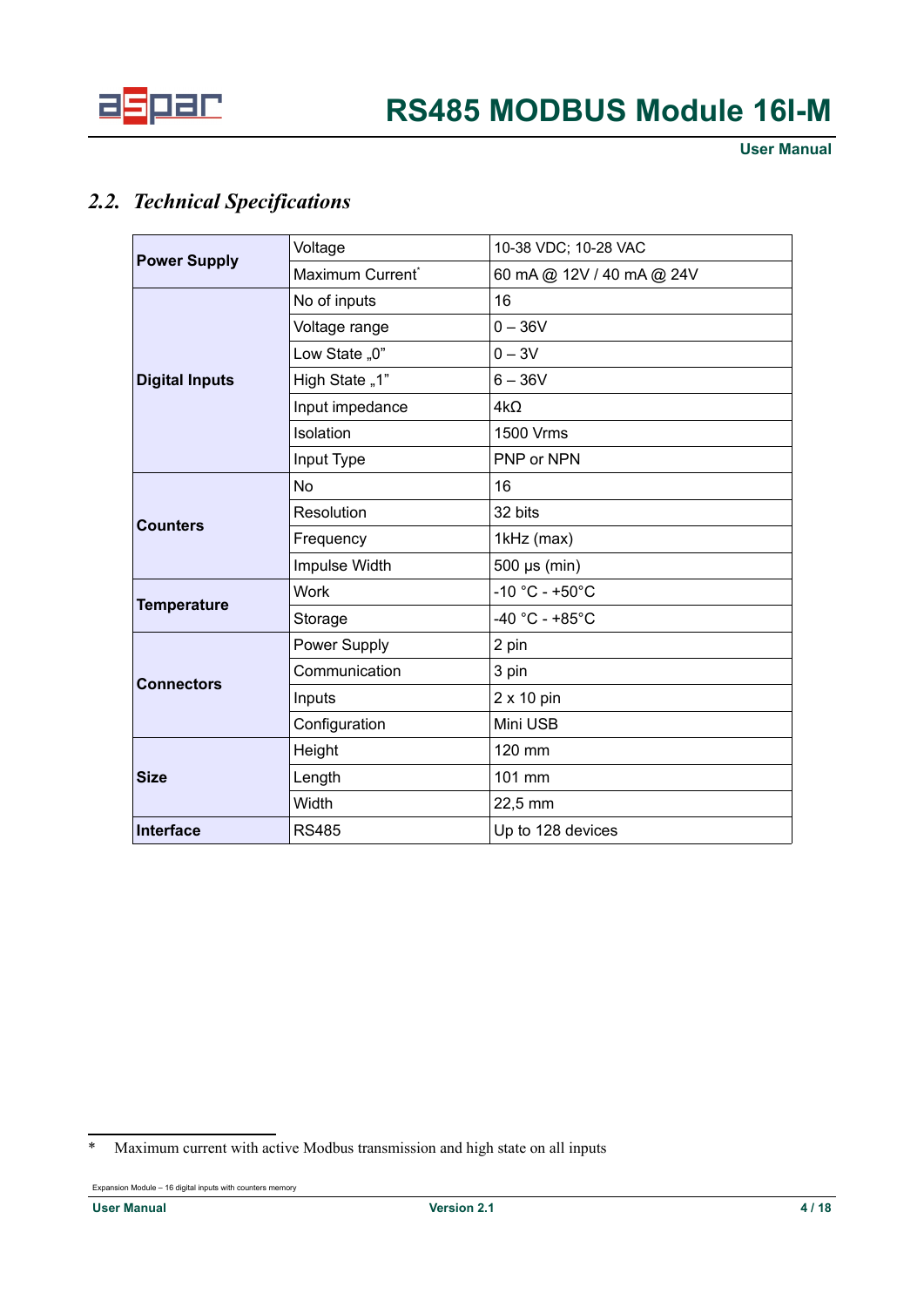

## *2.2. Technical Specifications*

<span id="page-3-1"></span>

|                       | Voltage                      | 10-38 VDC; 10-28 VAC      |  |  |
|-----------------------|------------------------------|---------------------------|--|--|
| <b>Power Supply</b>   | Maximum Current <sup>®</sup> | 60 mA @ 12V / 40 mA @ 24V |  |  |
|                       | No of inputs                 | 16                        |  |  |
|                       | Voltage range                | $0 - 36V$                 |  |  |
|                       | Low State "0"                | $0 - 3V$                  |  |  |
| <b>Digital Inputs</b> | High State "1"               | $6 - 36V$                 |  |  |
|                       | Input impedance              | $4k\Omega$                |  |  |
|                       | Isolation                    | 1500 Vrms                 |  |  |
|                       | Input Type                   | PNP or NPN                |  |  |
|                       | No                           | 16                        |  |  |
|                       | Resolution                   | 32 bits                   |  |  |
| <b>Counters</b>       | Frequency                    | 1kHz (max)                |  |  |
|                       | Impulse Width                | 500 µs (min)              |  |  |
|                       | <b>Work</b>                  | $-10 °C - +50 °C$         |  |  |
| <b>Temperature</b>    | Storage                      | $-40 °C - +85 °C$         |  |  |
|                       | Power Supply                 | 2 pin                     |  |  |
|                       | Communication                | 3 pin                     |  |  |
| <b>Connectors</b>     | Inputs                       | 2 x 10 pin                |  |  |
|                       | Configuration                | Mini USB                  |  |  |
|                       | Height                       | 120 mm                    |  |  |
| <b>Size</b>           | Length                       | 101 mm                    |  |  |
|                       | Width                        | 22,5 mm                   |  |  |
| <b>Interface</b>      | <b>RS485</b>                 | Up to 128 devices         |  |  |

<span id="page-3-0"></span><sup>\*</sup> Maximum current with active Modbus transmission and high state on all inputs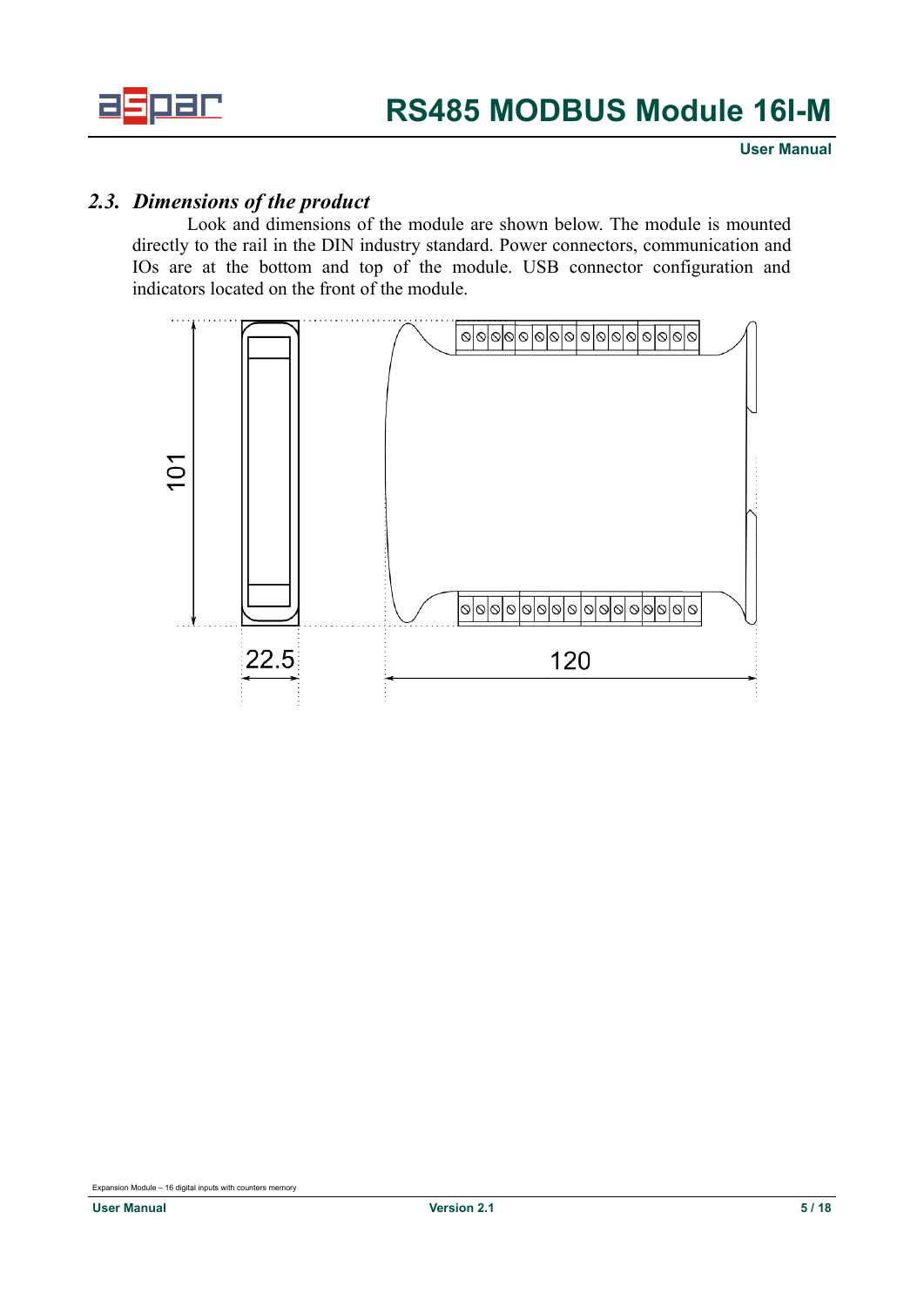

## *2.3. Dimensions of the product*

<span id="page-4-0"></span>Look and dimensions of the module are shown below. The module is mounted directly to the rail in the DIN industry standard. Power connectors, communication and IOs are at the bottom and top of the module. USB connector configuration and indicators located on the front of the module.

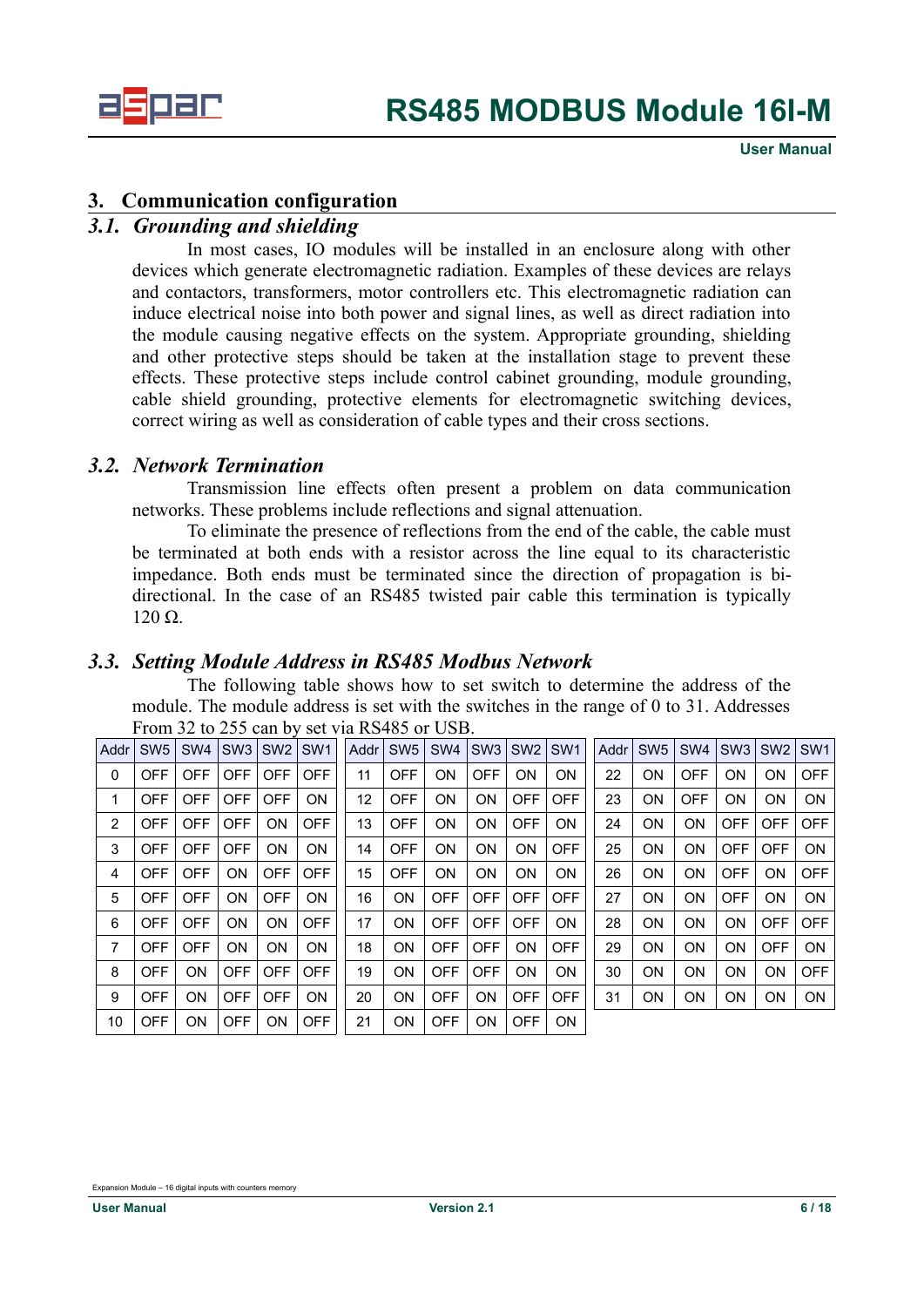

### <span id="page-5-3"></span>**3. Communication configuration**

### *3.1. Grounding and shielding*

<span id="page-5-2"></span>In most cases, IO modules will be installed in an enclosure along with other devices which generate electromagnetic radiation. Examples of these devices are relays and contactors, transformers, motor controllers etc. This electromagnetic radiation can induce electrical noise into both power and signal lines, as well as direct radiation into the module causing negative effects on the system. Appropriate grounding, shielding and other protective steps should be taken at the installation stage to prevent these effects. These protective steps include control cabinet grounding, module grounding, cable shield grounding, protective elements for electromagnetic switching devices, correct wiring as well as consideration of cable types and their cross sections.

### *3.2. Network Termination*

<span id="page-5-1"></span>Transmission line effects often present a problem on data communication networks. These problems include reflections and signal attenuation.

To eliminate the presence of reflections from the end of the cable, the cable must be terminated at both ends with a resistor across the line equal to its characteristic impedance. Both ends must be terminated since the direction of propagation is bidirectional. In the case of an RS485 twisted pair cable this termination is typically 120 Ω.

### *3.3. Setting Module Address in RS485 Modbus Network*

<span id="page-5-0"></span>The following table shows how to set switch to determine the address of the module. The module address is set with the switches in the range of 0 to 31. Addresses From 32 to 255 can by set via RS485 or USB.

| Addr | SW <sub>5</sub> | SW <sub>4</sub> | SW <sub>3</sub> | SW <sub>2</sub> | SW <sub>1</sub> | Addr | SW <sub>5</sub> | SW <sub>4</sub> | SW <sub>3</sub> | SW <sub>2</sub> | SW <sub>1</sub> | Addr | SW <sub>5</sub> | SW <sub>4</sub> | SW <sub>3</sub> | SW <sub>2</sub> | SW <sub>1</sub> |
|------|-----------------|-----------------|-----------------|-----------------|-----------------|------|-----------------|-----------------|-----------------|-----------------|-----------------|------|-----------------|-----------------|-----------------|-----------------|-----------------|
| 0    | OFF             | <b>OFF</b>      | <b>OFF</b>      | <b>OFF</b>      | <b>OFF</b>      | 11   | <b>OFF</b>      | ON.             | <b>OFF</b>      | ON              | <b>ON</b>       | 22   | ON              | <b>OFF</b>      | ON              | ON              | <b>OFF</b>      |
| 1    | <b>OFF</b>      | <b>OFF</b>      | <b>OFF</b>      | <b>OFF</b>      | ON              | 12   | <b>OFF</b>      | ON              | ΟN              | <b>OFF</b>      | <b>OFF</b>      | 23   | ΟN              | <b>OFF</b>      | ΟN              | ΟN              | <b>ON</b>       |
| 2    | <b>OFF</b>      | <b>OFF</b>      | <b>OFF</b>      | ΟN              | <b>OFF</b>      | 13   | <b>OFF</b>      | ON              | <b>ON</b>       | <b>OFF</b>      | ON              | 24   | ON              | ON              | <b>OFF</b>      | <b>OFF</b>      | <b>OFF</b>      |
| 3    | <b>OFF</b>      | <b>OFF</b>      | <b>OFF</b>      | ON              | ON              | 14   | <b>OFF</b>      | ON              | <b>ON</b>       | ON              | <b>OFF</b>      | 25   | ON              | ON              | <b>OFF</b>      | <b>OFF</b>      | <b>ON</b>       |
| 4    | <b>OFF</b>      | <b>OFF</b>      | ON              | <b>OFF</b>      | <b>OFF</b>      | 15   | <b>OFF</b>      | ON              | <b>ON</b>       | ON              | <b>ON</b>       | 26   | ON              | ON              | <b>OFF</b>      | ON              | <b>OFF</b>      |
| 5    | <b>OFF</b>      | <b>OFF</b>      | ON              | <b>OFF</b>      | ON              | 16   | ON              | <b>OFF</b>      | <b>OFF</b>      | <b>OFF</b>      | <b>OFF</b>      | 27   | ON              | ON              | <b>OFF</b>      | ON              | <b>ON</b>       |
| 6    | <b>OFF</b>      | <b>OFF</b>      | ON              | ΟN              | <b>OFF</b>      | 17   | <b>ON</b>       | <b>OFF</b>      | <b>OFF</b>      | <b>OFF</b>      | ON              | 28   | ON              | ON              | <b>ON</b>       | <b>OFF</b>      | <b>OFF</b>      |
| 7    | <b>OFF</b>      | <b>OFF</b>      | ON              | <b>ON</b>       | ON              | 18   | <b>ON</b>       | <b>OFF</b>      | <b>OFF</b>      | ON              | <b>OFF</b>      | 29   | ON              | ON              | ON              | <b>OFF</b>      | <b>ON</b>       |
| 8    | <b>OFF</b>      | <b>ON</b>       | <b>OFF</b>      | <b>OFF</b>      | <b>OFF</b>      | 19   | <b>ON</b>       | <b>OFF</b>      | <b>OFF</b>      | ON              | <b>ON</b>       | 30   | ON              | ON              | ON              | ON              | <b>OFF</b>      |
| 9    | <b>OFF</b>      | <b>ON</b>       | <b>OFF</b>      | <b>OFF</b>      | ON              | 20   | <b>ON</b>       | <b>OFF</b>      | <b>ON</b>       | <b>OFF</b>      | <b>OFF</b>      | 31   | ON              | ON              | ON              | ON              | ON              |
| 10   | <b>OFF</b>      | <b>ON</b>       | <b>OFF</b>      | <b>ON</b>       | <b>OFF</b>      | 21   | ΟN              | <b>OFF</b>      | <b>ON</b>       | <b>OFF</b>      | <b>ON</b>       |      |                 |                 |                 |                 |                 |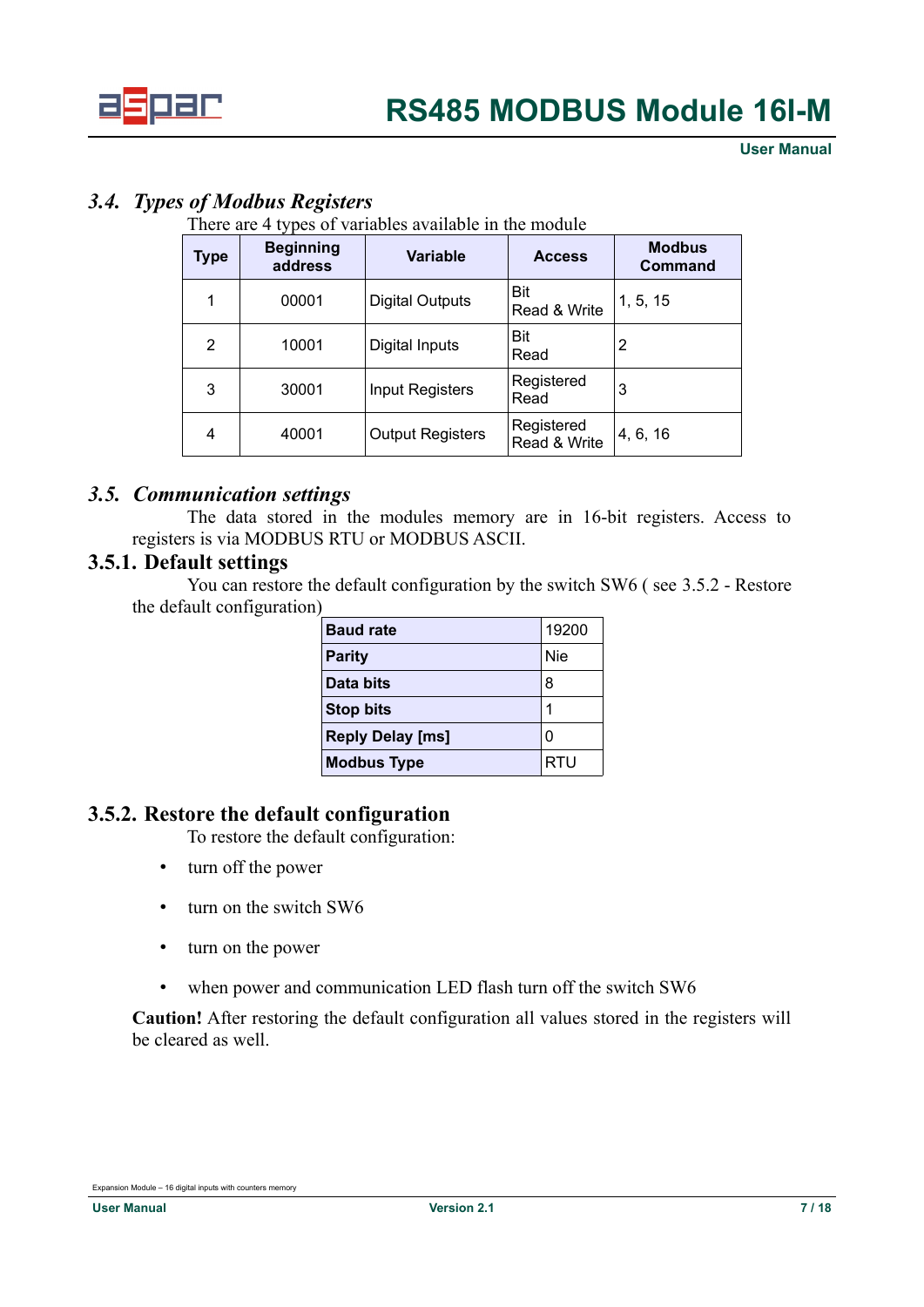

### <span id="page-6-3"></span>*3.4. Types of Modbus Registers*

There are 4 types of variables available in the module

| Type | <b>Beginning</b><br>address | Variable                | <b>Access</b>              | <b>Modbus</b><br><b>Command</b> |
|------|-----------------------------|-------------------------|----------------------------|---------------------------------|
|      | 00001                       | <b>Digital Outputs</b>  | <b>Bit</b><br>Read & Write | 1, 5, 15                        |
| 2    | 10001                       | Digital Inputs          | <b>Bit</b><br>Read         | 2                               |
| 3    | 30001                       | <b>Input Registers</b>  | Registered<br>Read         | 3                               |
| 4    | 40001                       | <b>Output Registers</b> | Registered<br>Read & Write | 4, 6, 16                        |

### *3.5. Communication settings*

<span id="page-6-2"></span>The data stored in the modules memory are in 16-bit registers. Access to registers is via MODBUS RTU or MODBUS ASCII.

#### **3.5.1. Default settings**

<span id="page-6-1"></span>You can restore the default configuration by the switch SW6 ( see [3.5.2](#page-6-0) - [Restore](#page-6-0) [the default configuration\)](#page-6-0)

| <b>Baud rate</b>        | 19200 |
|-------------------------|-------|
| <b>Parity</b>           | Nie   |
| Data bits               | 8     |
| <b>Stop bits</b>        |       |
| <b>Reply Delay [ms]</b> | O     |
| <b>Modbus Type</b>      | RTU   |

### **3.5.2. Restore the default configuration**

<span id="page-6-0"></span>To restore the default configuration:

- turn off the power
- turn on the switch SW6
- turn on the power
- when power and communication LED flash turn off the switch SW6

**Caution!** After restoring the default configuration all values stored in the registers will be cleared as well.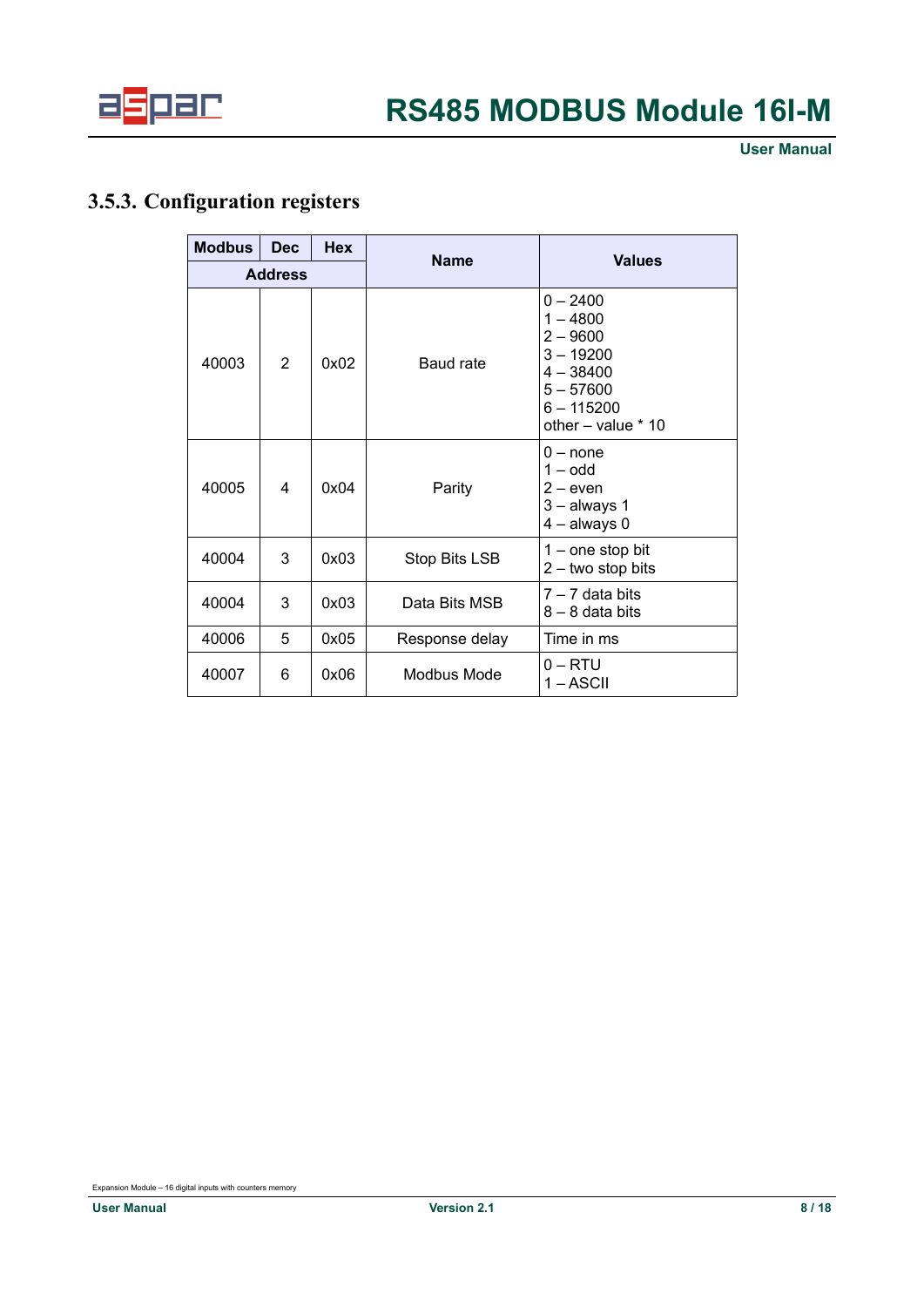

## <span id="page-7-0"></span>**3.5.3. Configuration registers**

| <b>Modbus</b>  | <b>Dec</b>     | <b>Hex</b><br><b>Name</b> |                | <b>Values</b>                                                                                                             |  |
|----------------|----------------|---------------------------|----------------|---------------------------------------------------------------------------------------------------------------------------|--|
| <b>Address</b> |                |                           |                |                                                                                                                           |  |
| 40003          | $\mathfrak{p}$ | 0x02                      | Baud rate      | $0 - 2400$<br>$1 - 4800$<br>$2 - 9600$<br>$3 - 19200$<br>$4 - 38400$<br>$5 - 57600$<br>$6 - 115200$<br>other - value * 10 |  |
| 40005          | 4              | 0x04                      | Parity         | $0 - none$<br>$1 -$ odd<br>$2 - e$ ven<br>$3 -$ always 1<br>$4 -$ always 0                                                |  |
| 40004          | 3              | 0x03                      | Stop Bits LSB  | $1 -$ one stop bit<br>$2 -$ two stop bits                                                                                 |  |
| 40004          | 3              | 0x03                      | Data Bits MSB  | $7 - 7$ data bits<br>$8 - 8$ data bits                                                                                    |  |
| 40006          | 5              | 0x05                      | Response delay | Time in ms                                                                                                                |  |
| 40007          | 6              | 0x06                      | Modbus Mode    | $0 - RTU$<br>1 – ASCII                                                                                                    |  |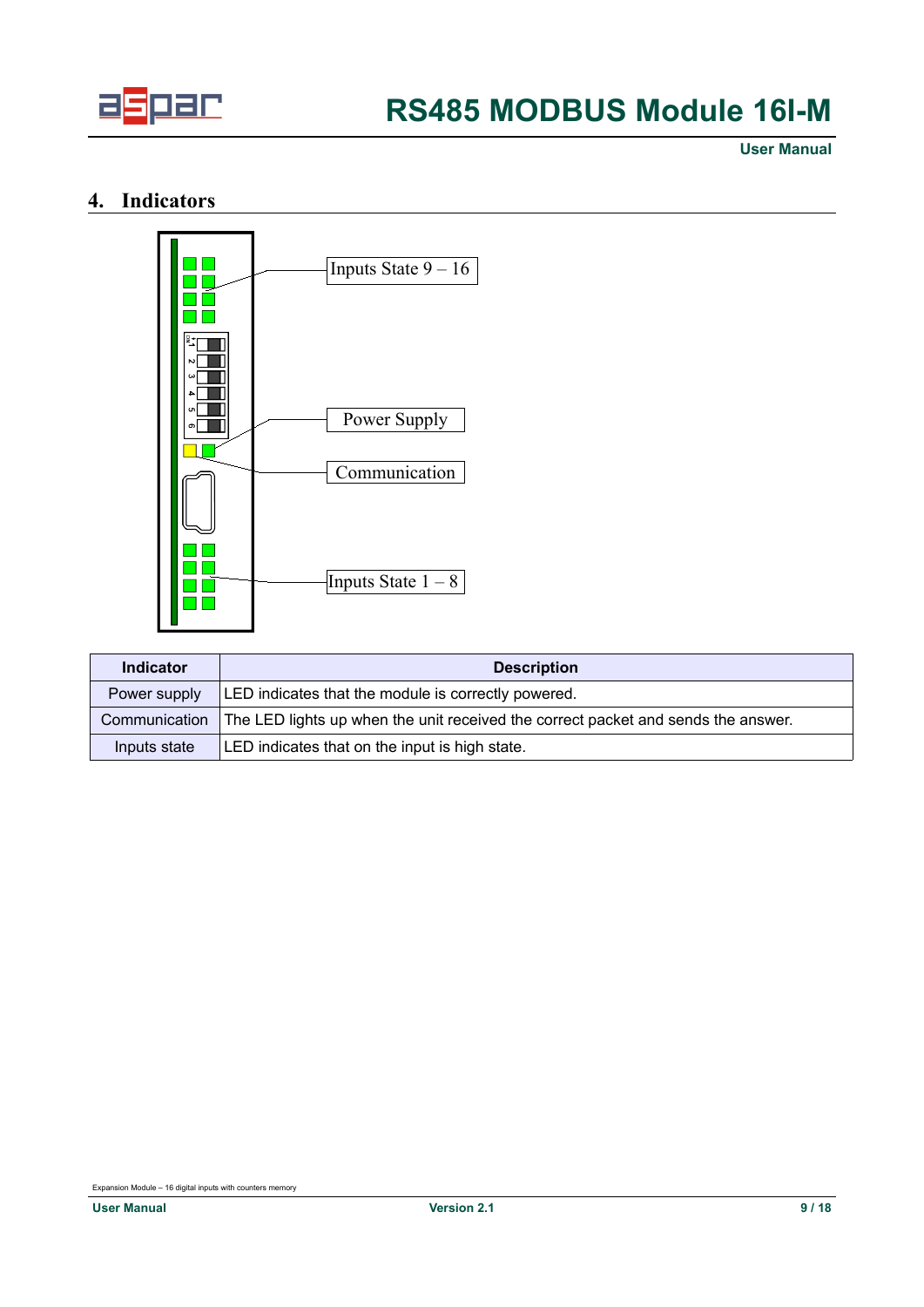

**User Manual**

## **4. Indicators**

<span id="page-8-0"></span>

| Indicator     | <b>Description</b>                                                                |  |  |  |  |  |
|---------------|-----------------------------------------------------------------------------------|--|--|--|--|--|
| Power supply  | LED indicates that the module is correctly powered.                               |  |  |  |  |  |
| Communication | The LED lights up when the unit received the correct packet and sends the answer. |  |  |  |  |  |
| Inputs state  | LED indicates that on the input is high state.                                    |  |  |  |  |  |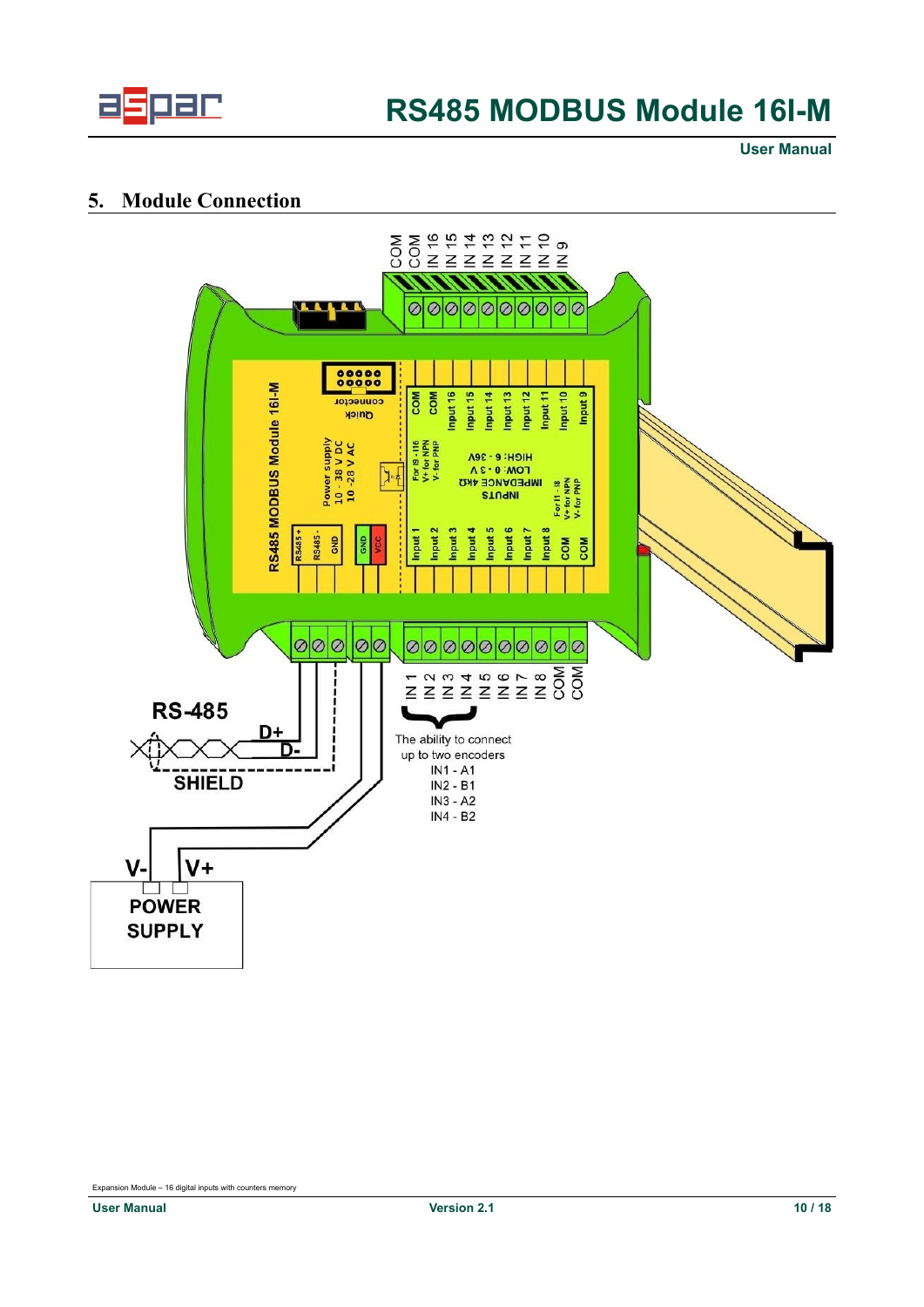

**User Manual**

### <span id="page-9-0"></span>**5. Module Connection**

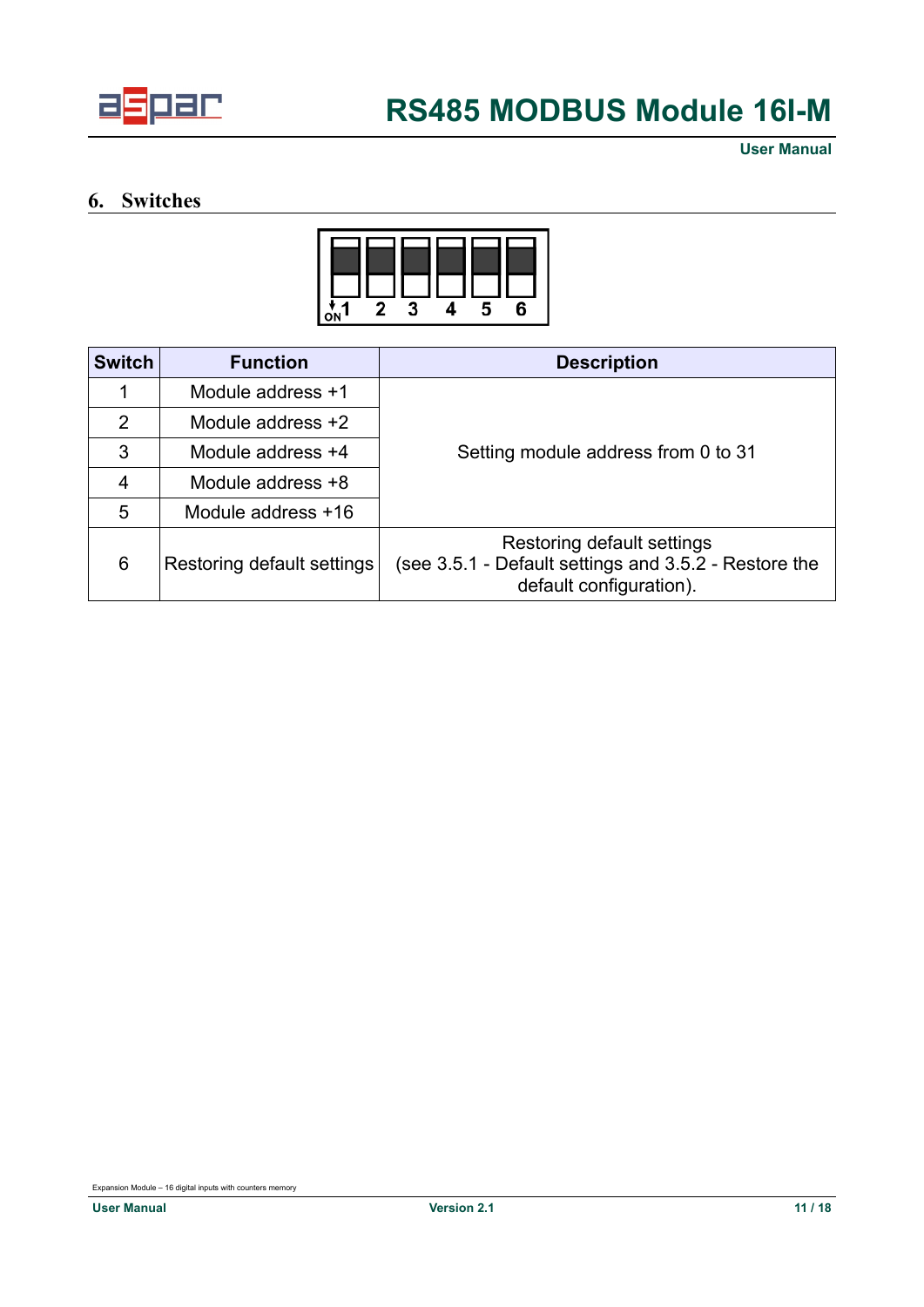

## <span id="page-10-0"></span>**6. Switches**



| <b>Switch</b>  | <b>Function</b><br><b>Description</b> |                                                                                                                |  |  |
|----------------|---------------------------------------|----------------------------------------------------------------------------------------------------------------|--|--|
|                | Module address +1                     |                                                                                                                |  |  |
| 2              | Module address $+2$                   |                                                                                                                |  |  |
| 3              | Module address +4                     | Setting module address from 0 to 31                                                                            |  |  |
| $\overline{4}$ | Module address +8                     |                                                                                                                |  |  |
| 5              | Module address +16                    |                                                                                                                |  |  |
| 6              | Restoring default settings            | Restoring default settings<br>(see 3.5.1 - Default settings and 3.5.2 - Restore the<br>default configuration). |  |  |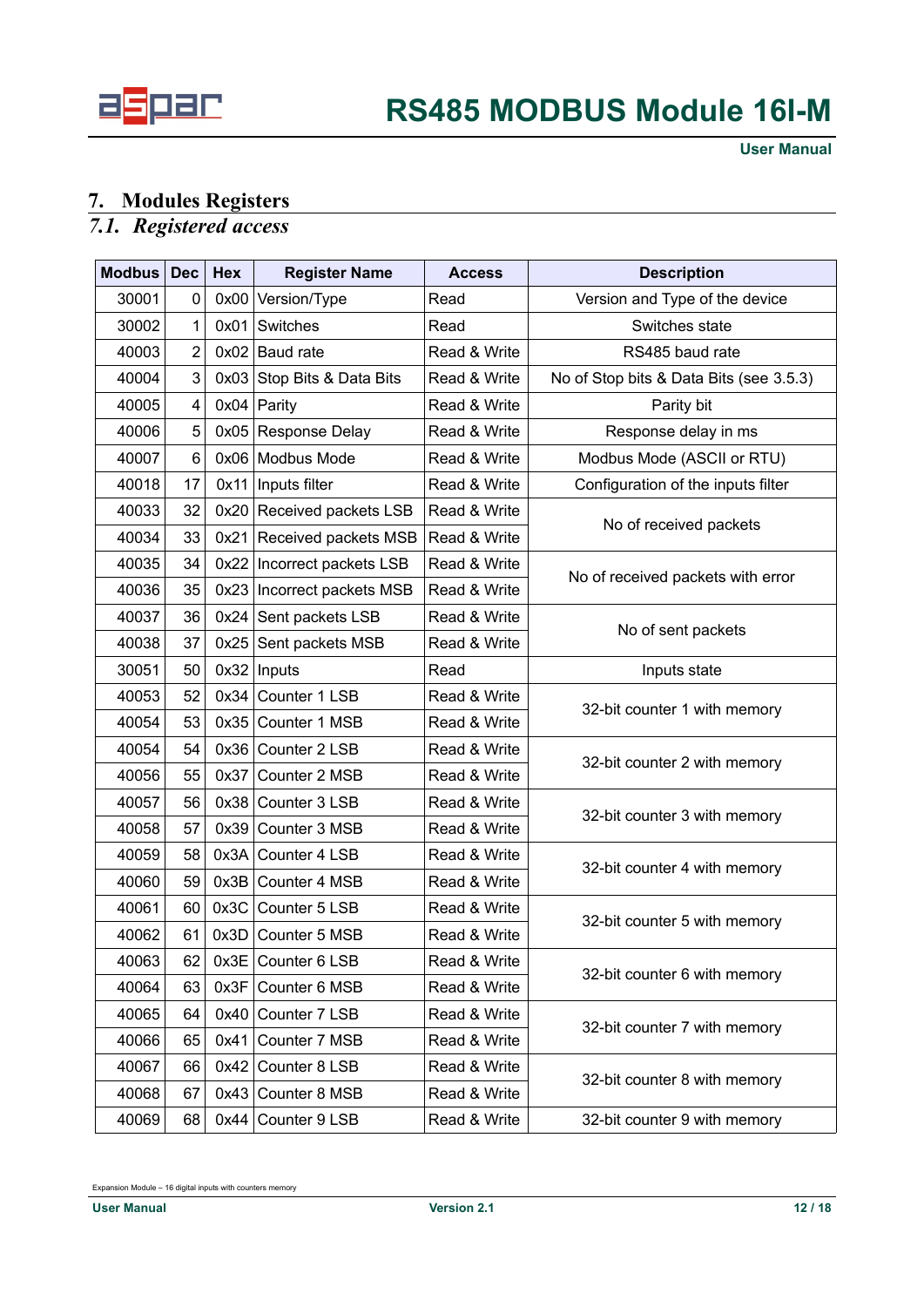

## <span id="page-11-1"></span>**7. Modules Registers**

### <span id="page-11-0"></span>*7.1. Registered access*

| <b>Modbus</b> | <b>Dec</b>     | Hex  | <b>Register Name</b>         | <b>Access</b> | <b>Description</b>                      |
|---------------|----------------|------|------------------------------|---------------|-----------------------------------------|
| 30001         | 0              | 0x00 | Version/Type                 | Read          | Version and Type of the device          |
| 30002         | 1              | 0x01 | Switches                     | Read          | Switches state                          |
| 40003         | $\overline{2}$ |      | $0x02$ Baud rate             | Read & Write  | RS485 baud rate                         |
| 40004         | 3              |      | 0x03 Stop Bits & Data Bits   | Read & Write  | No of Stop bits & Data Bits (see 3.5.3) |
| 40005         | 4              |      | $0x04$ Parity                | Read & Write  | Parity bit                              |
| 40006         | 5              |      | 0x05 Response Delay          | Read & Write  | Response delay in ms                    |
| 40007         | 6              |      | 0x06 Modbus Mode             | Read & Write  | Modbus Mode (ASCII or RTU)              |
| 40018         | 17             | 0x11 | Inputs filter                | Read & Write  | Configuration of the inputs filter      |
| 40033         | 32             |      | 0x20 Received packets LSB    | Read & Write  |                                         |
| 40034         | 33             |      | 0x21 Received packets MSB    | Read & Write  | No of received packets                  |
| 40035         | 34             |      | 0x22   Incorrect packets LSB | Read & Write  |                                         |
| 40036         | 35             |      | 0x23 Incorrect packets MSB   | Read & Write  | No of received packets with error       |
| 40037         | 36             |      | $0x24$ Sent packets LSB      | Read & Write  |                                         |
| 40038         | 37             | 0x25 | Sent packets MSB             | Read & Write  | No of sent packets                      |
| 30051         | 50             | 0x32 | Inputs                       | Read          | Inputs state                            |
| 40053         | 52             |      | 0x34 Counter 1 LSB           | Read & Write  |                                         |
| 40054         | 53             |      | 0x35 Counter 1 MSB           | Read & Write  | 32-bit counter 1 with memory            |
| 40054         | 54             |      | $0x36$ Counter 2 LSB         | Read & Write  |                                         |
| 40056         | 55             | 0x37 | Counter 2 MSB                | Read & Write  | 32-bit counter 2 with memory            |
| 40057         | 56             | 0x38 | Counter 3 LSB                | Read & Write  |                                         |
| 40058         | 57             | 0x39 | Counter 3 MSB                | Read & Write  | 32-bit counter 3 with memory            |
| 40059         | 58             |      | 0x3A Counter 4 LSB           | Read & Write  |                                         |
| 40060         | 59             |      | 0x3B Counter 4 MSB           | Read & Write  | 32-bit counter 4 with memory            |
| 40061         | 60             | 0x3C | Counter 5 LSB                | Read & Write  |                                         |
| 40062         | 61             |      | 0x3D Counter 5 MSB           | Read & Write  | 32-bit counter 5 with memory            |
| 40063         | 62             |      | $0x3E$ Counter 6 LSB         | Read & Write  | 32-bit counter 6 with memory            |
| 40064         | 63             | 0x3F | Counter 6 MSB                | Read & Write  |                                         |
| 40065         | 64             |      | 0x40 Counter 7 LSB           | Read & Write  |                                         |
| 40066         | 65             |      | 0x41 Counter 7 MSB           | Read & Write  | 32-bit counter 7 with memory            |
| 40067         | 66             | 0x42 | Counter 8 LSB                | Read & Write  |                                         |
| 40068         | 67             |      | 0x43 Counter 8 MSB           | Read & Write  | 32-bit counter 8 with memory            |
| 40069         | 68             |      | $0x44$ Counter 9 LSB         | Read & Write  | 32-bit counter 9 with memory            |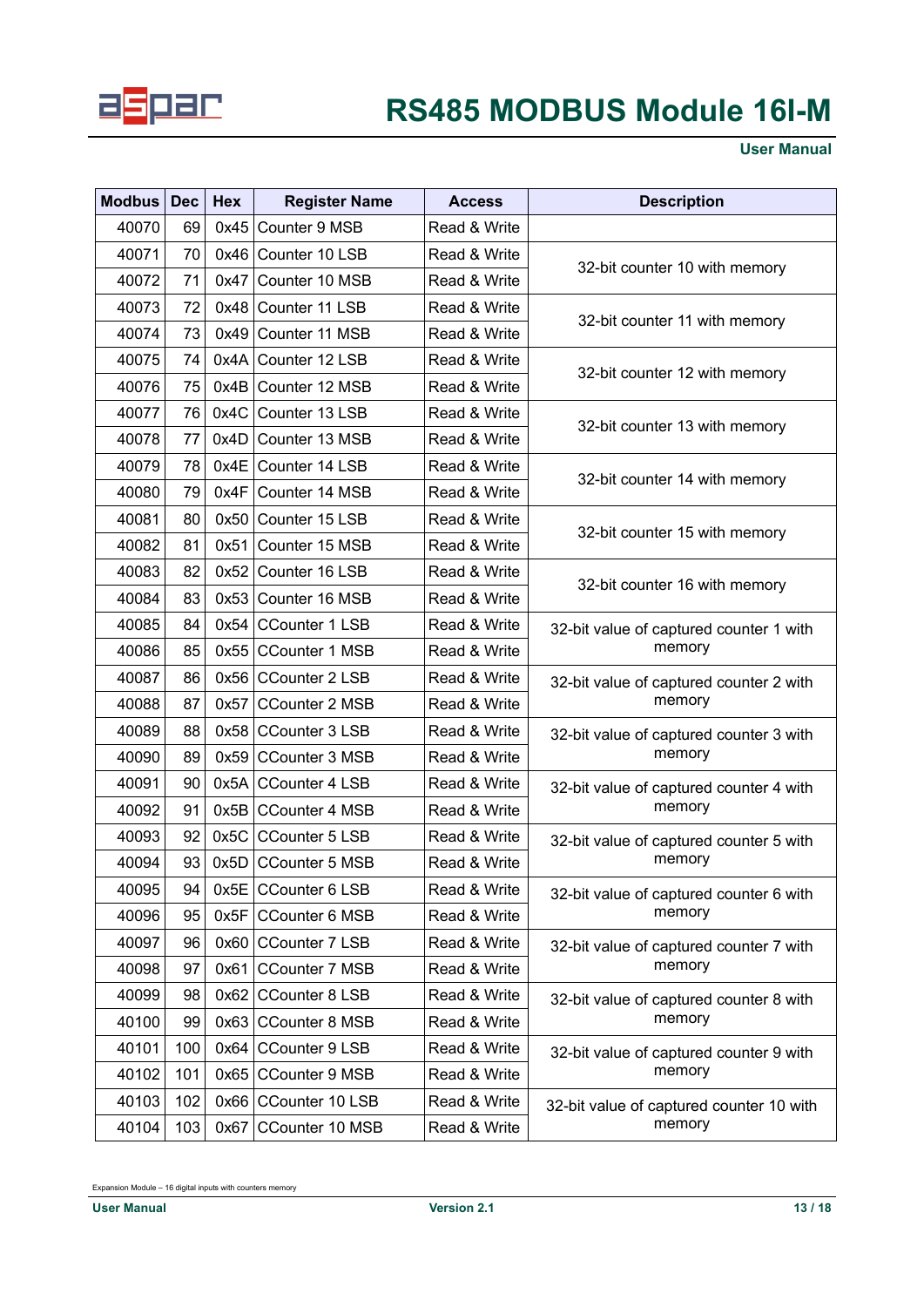

**User Manual**

| <b>Modbus</b> | <b>Dec</b> | Hex  | <b>Register Name</b>  | <b>Access</b> | <b>Description</b>                       |
|---------------|------------|------|-----------------------|---------------|------------------------------------------|
| 40070         | 69         | 0x45 | Counter 9 MSB         | Read & Write  |                                          |
| 40071         | 70         | 0x46 | Counter 10 LSB        | Read & Write  |                                          |
| 40072         | 71         | 0x47 | Counter 10 MSB        | Read & Write  | 32-bit counter 10 with memory            |
| 40073         | 72         | 0x48 | Counter 11 LSB        | Read & Write  |                                          |
| 40074         | 73         | 0x49 | Counter 11 MSB        | Read & Write  | 32-bit counter 11 with memory            |
| 40075         | 74         | 0x4A | Counter 12 LSB        | Read & Write  |                                          |
| 40076         | 75         | 0x4B | Counter 12 MSB        | Read & Write  | 32-bit counter 12 with memory            |
| 40077         | 76         | 0x4C | Counter 13 LSB        | Read & Write  |                                          |
| 40078         | 77         | 0x4D | Counter 13 MSB        | Read & Write  | 32-bit counter 13 with memory            |
| 40079         | 78         | 0x4E | Counter 14 LSB        | Read & Write  |                                          |
| 40080         | 79         | 0x4F | Counter 14 MSB        | Read & Write  | 32-bit counter 14 with memory            |
| 40081         | 80         | 0x50 | Counter 15 LSB        | Read & Write  |                                          |
| 40082         | 81         | 0x51 | Counter 15 MSB        | Read & Write  | 32-bit counter 15 with memory            |
| 40083         | 82         | 0x52 | Counter 16 LSB        | Read & Write  |                                          |
| 40084         | 83         | 0x53 | Counter 16 MSB        | Read & Write  | 32-bit counter 16 with memory            |
| 40085         | 84         | 0x54 | <b>CCounter 1 LSB</b> | Read & Write  | 32-bit value of captured counter 1 with  |
| 40086         | 85         | 0x55 | <b>CCounter 1 MSB</b> | Read & Write  | memory                                   |
| 40087         | 86         |      | 0x56 CCounter 2 LSB   | Read & Write  | 32-bit value of captured counter 2 with  |
| 40088         | 87         | 0x57 | <b>CCounter 2 MSB</b> | Read & Write  | memory                                   |
| 40089         | 88         | 0x58 | <b>CCounter 3 LSB</b> | Read & Write  | 32-bit value of captured counter 3 with  |
| 40090         | 89         | 0x59 | <b>CCounter 3 MSB</b> | Read & Write  | memory                                   |
| 40091         | 90         | 0x5A | <b>CCounter 4 LSB</b> | Read & Write  | 32-bit value of captured counter 4 with  |
| 40092         | 91         | 0x5B | CCounter 4 MSB        | Read & Write  | memory                                   |
| 40093         | 92         | 0x5C | <b>CCounter 5 LSB</b> | Read & Write  | 32-bit value of captured counter 5 with  |
| 40094         | 93         | 0x5D | <b>CCounter 5 MSB</b> | Read & Write  | memory                                   |
| 40095         | 94         |      | 0x5E CCounter 6 LSB   | Read & Write  | 32-bit value of captured counter 6 with  |
| 40096         | 95         | 0x5F | <b>CCounter 6 MSB</b> | Read & Write  | memory                                   |
| 40097         | 96         |      | 0x60 CCounter 7 LSB   | Read & Write  | 32-bit value of captured counter 7 with  |
| 40098         | 97         | 0x61 | <b>CCounter 7 MSB</b> | Read & Write  | memory                                   |
| 40099         | 98         |      | 0x62 CCounter 8 LSB   | Read & Write  | 32-bit value of captured counter 8 with  |
| 40100         | 99         |      | 0x63 CCounter 8 MSB   | Read & Write  | memory                                   |
| 40101         | 100        | 0x64 | <b>CCounter 9 LSB</b> | Read & Write  | 32-bit value of captured counter 9 with  |
| 40102         | 101        | 0x65 | <b>CCounter 9 MSB</b> | Read & Write  | memory                                   |
| 40103         | 102        |      | 0x66 CCounter 10 LSB  | Read & Write  | 32-bit value of captured counter 10 with |
| 40104         | 103        |      | 0x67 CCounter 10 MSB  | Read & Write  | memory                                   |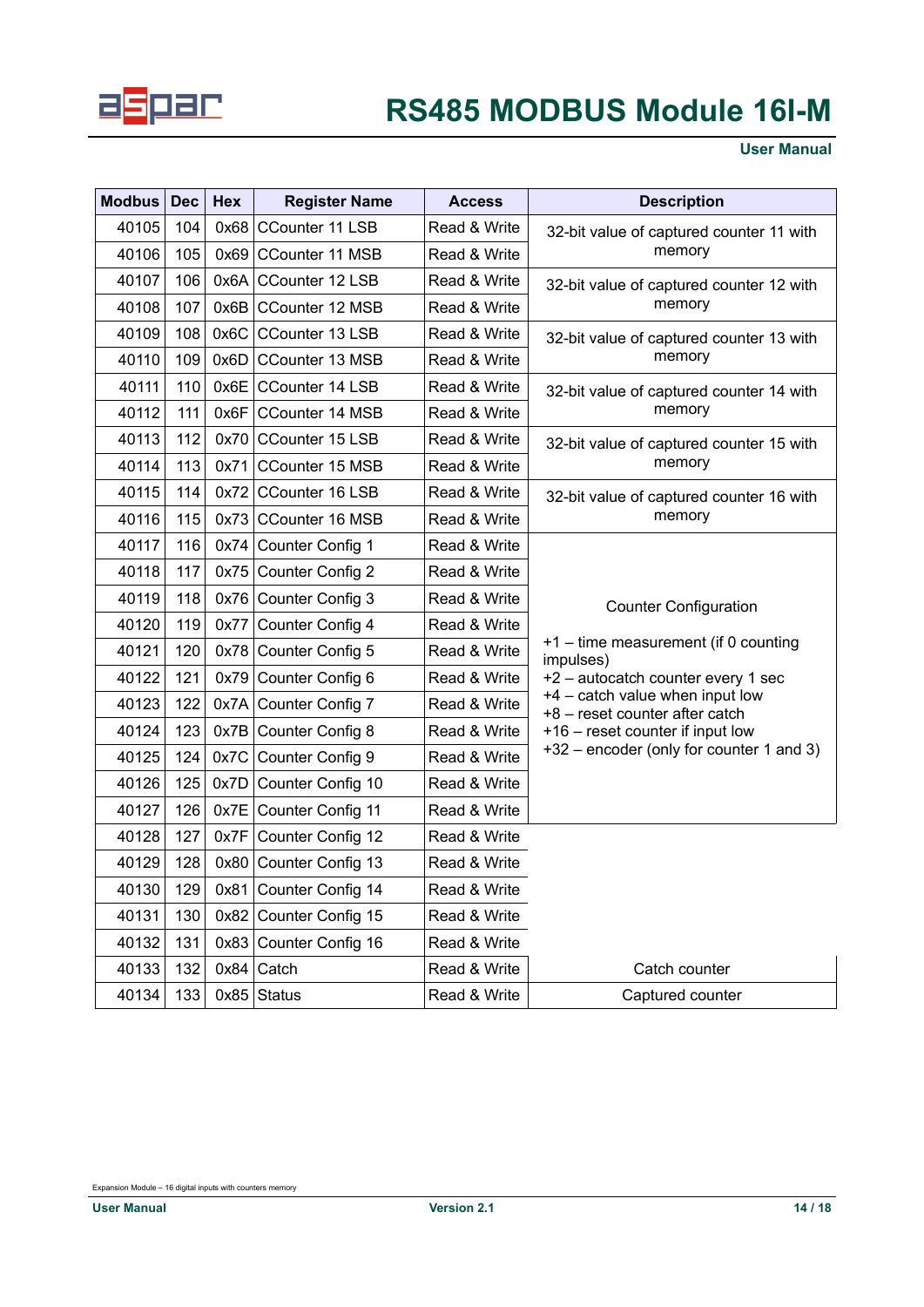

### **User Manual**

| <b>Modbus</b> | <b>Dec</b> | <b>Hex</b> | <b>Register Name</b>   | <b>Access</b> | <b>Description</b>                                                |  |
|---------------|------------|------------|------------------------|---------------|-------------------------------------------------------------------|--|
| 40105         | 104        | 0x68       | <b>CCounter 11 LSB</b> | Read & Write  | 32-bit value of captured counter 11 with                          |  |
| 40106         | 105        | 0x69       | CCounter 11 MSB        | Read & Write  | memory                                                            |  |
| 40107         | 106        | 0x6A       | <b>CCounter 12 LSB</b> | Read & Write  | 32-bit value of captured counter 12 with                          |  |
| 40108         | 107        |            | 0x6B CCounter 12 MSB   | Read & Write  | memory                                                            |  |
| 40109         | 108        |            | 0x6C CCounter 13 LSB   | Read & Write  | 32-bit value of captured counter 13 with                          |  |
| 40110         | 109        |            | 0x6D CCounter 13 MSB   | Read & Write  | memory                                                            |  |
| 40111         | 110        | 0x6E       | CCounter 14 LSB        | Read & Write  | 32-bit value of captured counter 14 with                          |  |
| 40112         | 111        | 0x6F       | <b>CCounter 14 MSB</b> | Read & Write  | memory                                                            |  |
| 40113         | 112        | 0x70       | CCounter 15 LSB        | Read & Write  | 32-bit value of captured counter 15 with                          |  |
| 40114         | 113        | 0x71       | <b>CCounter 15 MSB</b> | Read & Write  | memory                                                            |  |
| 40115         | 114        |            | 0x72 CCounter 16 LSB   | Read & Write  | 32-bit value of captured counter 16 with                          |  |
| 40116         | 115        | 0x73       | <b>CCounter 16 MSB</b> | Read & Write  | memory                                                            |  |
| 40117         | 116        |            | 0x74 Counter Config 1  | Read & Write  |                                                                   |  |
| 40118         | 117        |            | 0x75 Counter Config 2  | Read & Write  |                                                                   |  |
| 40119         | 118        |            | 0x76 Counter Config 3  | Read & Write  | <b>Counter Configuration</b>                                      |  |
| 40120         | 119        | 0x77       | Counter Config 4       | Read & Write  |                                                                   |  |
| 40121         | 120        |            | 0x78 Counter Config 5  | Read & Write  | +1 - time measurement (if 0 counting<br>impulses)                 |  |
| 40122         | 121        |            | 0x79 Counter Config 6  | Read & Write  | +2 - autocatch counter every 1 sec                                |  |
| 40123         | 122        |            | 0x7A Counter Config 7  | Read & Write  | +4 - catch value when input low<br>+8 - reset counter after catch |  |
| 40124         | 123        |            | 0x7B Counter Config 8  | Read & Write  | +16 - reset counter if input low                                  |  |
| 40125         | 124        |            | 0x7C Counter Config 9  | Read & Write  | +32 – encoder (only for counter 1 and 3)                          |  |
| 40126         | 125        |            | 0x7D Counter Config 10 | Read & Write  |                                                                   |  |
| 40127         | 126        | 0x7E       | Counter Config 11      | Read & Write  |                                                                   |  |
| 40128         | 127        | 0x7F       | Counter Config 12      | Read & Write  |                                                                   |  |
| 40129         | 128        |            | 0x80 Counter Config 13 | Read & Write  |                                                                   |  |
| 40130         | 129        |            | 0x81 Counter Config 14 | Read & Write  |                                                                   |  |
| 40131         | 130        |            | 0x82 Counter Config 15 | Read & Write  |                                                                   |  |
| 40132         | 131        |            | 0x83 Counter Config 16 | Read & Write  |                                                                   |  |
| 40133         | 132        | 0x84       | Catch                  | Read & Write  | Catch counter                                                     |  |
| 40134         | 133        |            | $0x85$ Status          | Read & Write  | Captured counter                                                  |  |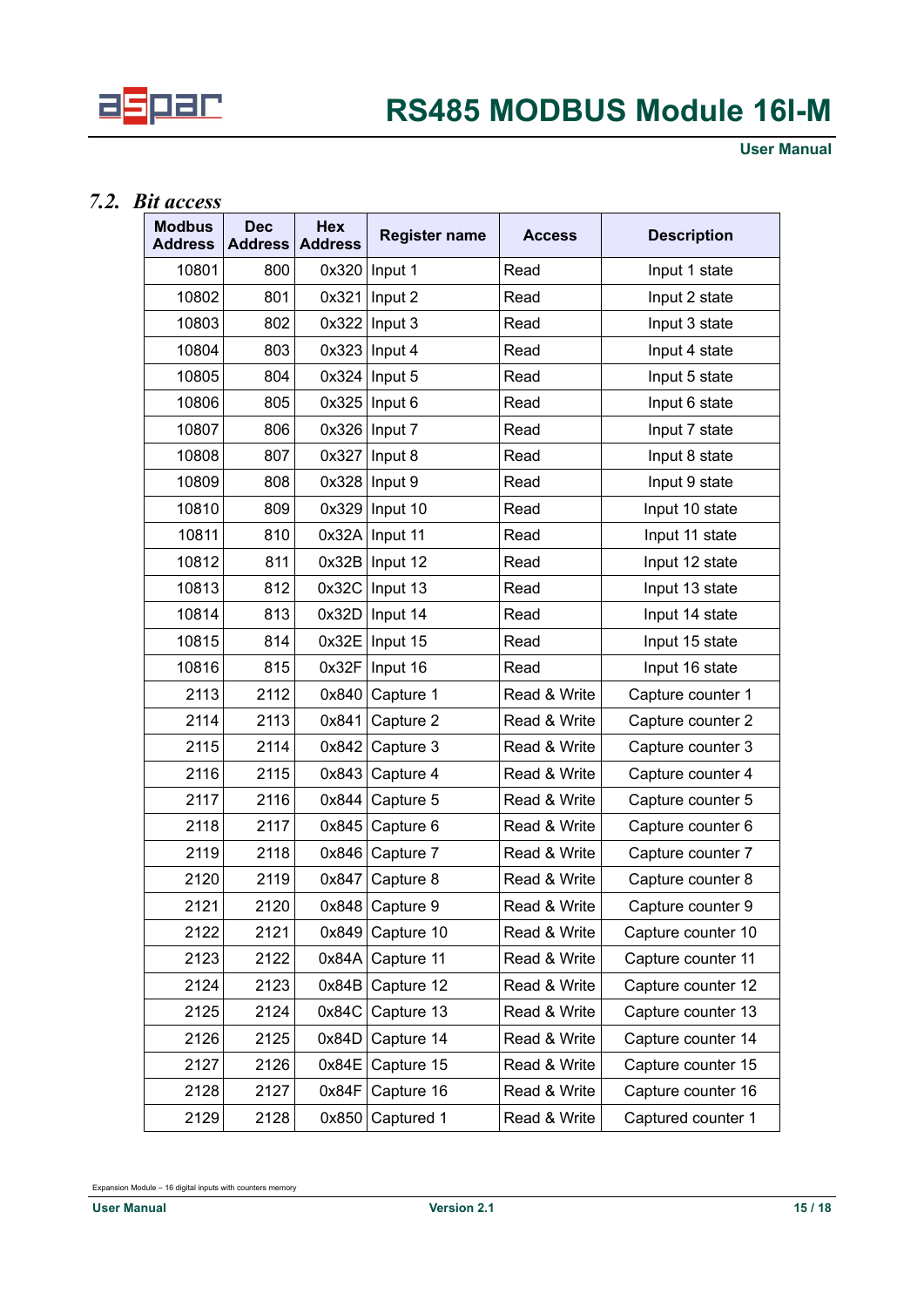

## *7.2. Bit access*

<span id="page-14-0"></span>

| <b>Modbus</b><br><b>Address</b> | <b>Dec</b><br><b>Address</b> | <b>Hex</b><br><b>Address</b> | <b>Register name</b> | <b>Access</b> | <b>Description</b> |
|---------------------------------|------------------------------|------------------------------|----------------------|---------------|--------------------|
| 10801                           | 800                          |                              | $0x320$ Input 1      | Read          | Input 1 state      |
| 10802                           | 801                          | 0x321                        | Input 2              | Read          | Input 2 state      |
| 10803                           | 802                          | 0x322                        | Input 3              | Read          | Input 3 state      |
| 10804                           | 803                          | 0x323                        | Input 4              | Read          | Input 4 state      |
| 10805                           | 804                          | 0x324                        | Input 5              | Read          | Input 5 state      |
| 10806                           | 805                          | 0x325                        | Input 6              | Read          | Input 6 state      |
| 10807                           | 806                          | 0x326                        | Input 7              | Read          | Input 7 state      |
| 10808                           | 807                          | 0x327                        | Input 8              | Read          | Input 8 state      |
| 10809                           | 808                          |                              | 0x328   Input 9      | Read          | Input 9 state      |
| 10810                           | 809                          | 0x329                        | Input 10             | Read          | Input 10 state     |
| 10811                           | 810                          | 0x32A                        | Input 11             | Read          | Input 11 state     |
| 10812                           | 811                          | 0x32B                        | Input 12             | Read          | Input 12 state     |
| 10813                           | 812                          | 0x32C                        | Input 13             | Read          | Input 13 state     |
| 10814                           | 813                          | 0x32D                        | Input 14             | Read          | Input 14 state     |
| 10815                           | 814                          | 0x32E                        | Input 15             | Read          | Input 15 state     |
| 10816                           | 815                          | 0x32F                        | Input 16             | Read          | Input 16 state     |
| 2113                            | 2112                         | 0x840                        | Capture 1            | Read & Write  | Capture counter 1  |
| 2114                            | 2113                         | 0x841                        | Capture 2            | Read & Write  | Capture counter 2  |
| 2115                            | 2114                         | 0x842                        | Capture 3            | Read & Write  | Capture counter 3  |
| 2116                            | 2115                         | 0x843                        | Capture 4            | Read & Write  | Capture counter 4  |
| 2117                            | 2116                         | 0x844                        | Capture 5            | Read & Write  | Capture counter 5  |
| 2118                            | 2117                         | 0x845                        | Capture 6            | Read & Write  | Capture counter 6  |
| 2119                            | 2118                         | 0x846                        | Capture 7            | Read & Write  | Capture counter 7  |
| 2120                            | 2119                         | 0x847                        | Capture 8            | Read & Write  | Capture counter 8  |
| 2121                            | 2120                         |                              | $0x848$ Capture 9    | Read & Write  | Capture counter 9  |
| 2122                            | 2121                         | 0x849                        | Capture 10           | Read & Write  | Capture counter 10 |
| 2123                            | 2122                         | 0x84A                        | Capture 11           | Read & Write  | Capture counter 11 |
| 2124                            | 2123                         | 0x84B                        | Capture 12           | Read & Write  | Capture counter 12 |
| 2125                            | 2124                         | 0x84C                        | Capture 13           | Read & Write  | Capture counter 13 |
| 2126                            | 2125                         | 0x84D                        | Capture 14           | Read & Write  | Capture counter 14 |
| 2127                            | 2126                         | 0x84E                        | Capture 15           | Read & Write  | Capture counter 15 |
| 2128                            | 2127                         | 0x84F                        | Capture 16           | Read & Write  | Capture counter 16 |
| 2129                            | 2128                         | 0x850                        | Captured 1           | Read & Write  | Captured counter 1 |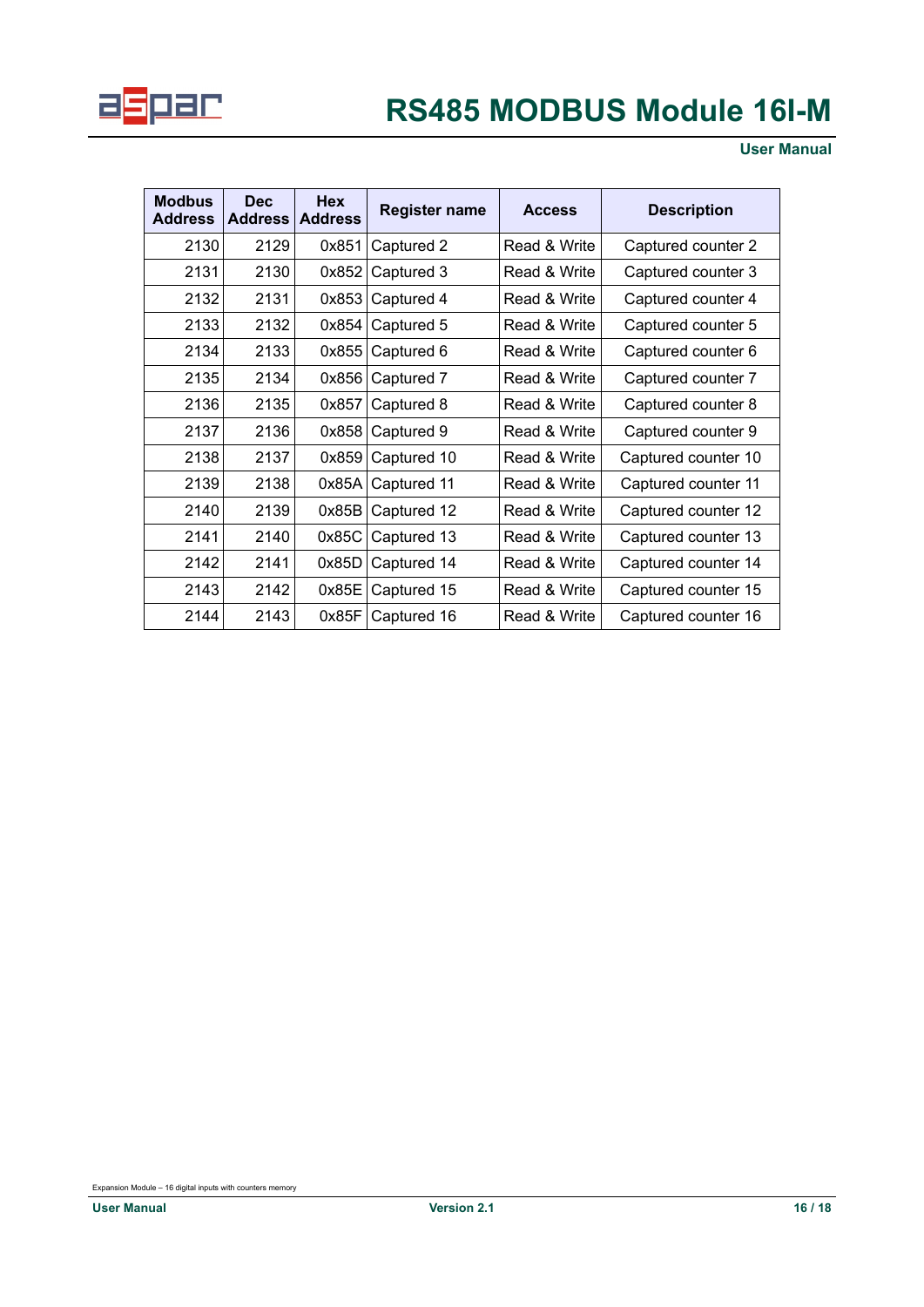

**User Manual**

| <b>Modbus</b><br><b>Address</b> | <b>Dec</b><br><b>Address</b> | <b>Hex</b><br><b>Address</b> | Register name | <b>Access</b> | <b>Description</b>  |
|---------------------------------|------------------------------|------------------------------|---------------|---------------|---------------------|
| 2130                            | 2129                         | 0x851                        | Captured 2    | Read & Write  | Captured counter 2  |
| 2131                            | 2130                         | 0x852                        | Captured 3    | Read & Write  | Captured counter 3  |
| 2132                            | 2131                         | 0x853                        | Captured 4    | Read & Write  | Captured counter 4  |
| 2133                            | 2132                         | 0x854                        | Captured 5    | Read & Write  | Captured counter 5  |
| 2134                            | 2133                         | 0x855                        | Captured 6    | Read & Write  | Captured counter 6  |
| 2135                            | 2134                         | 0x856                        | Captured 7    | Read & Write  | Captured counter 7  |
| 2136                            | 2135                         | 0x857                        | Captured 8    | Read & Write  | Captured counter 8  |
| 2137                            | 2136                         | 0x858                        | Captured 9    | Read & Write  | Captured counter 9  |
| 2138                            | 2137                         | 0x859                        | Captured 10   | Read & Write  | Captured counter 10 |
| 2139                            | 2138                         | 0x85A                        | Captured 11   | Read & Write  | Captured counter 11 |
| 2140                            | 2139                         | 0x85B                        | Captured 12   | Read & Write  | Captured counter 12 |
| 2141                            | 2140                         | 0x85C                        | Captured 13   | Read & Write  | Captured counter 13 |
| 2142                            | 2141                         | 0x85D                        | Captured 14   | Read & Write  | Captured counter 14 |
| 2143                            | 2142                         | 0x85E                        | Captured 15   | Read & Write  | Captured counter 15 |
| 2144                            | 2143                         | 0x85F                        | Captured 16   | Read & Write  | Captured counter 16 |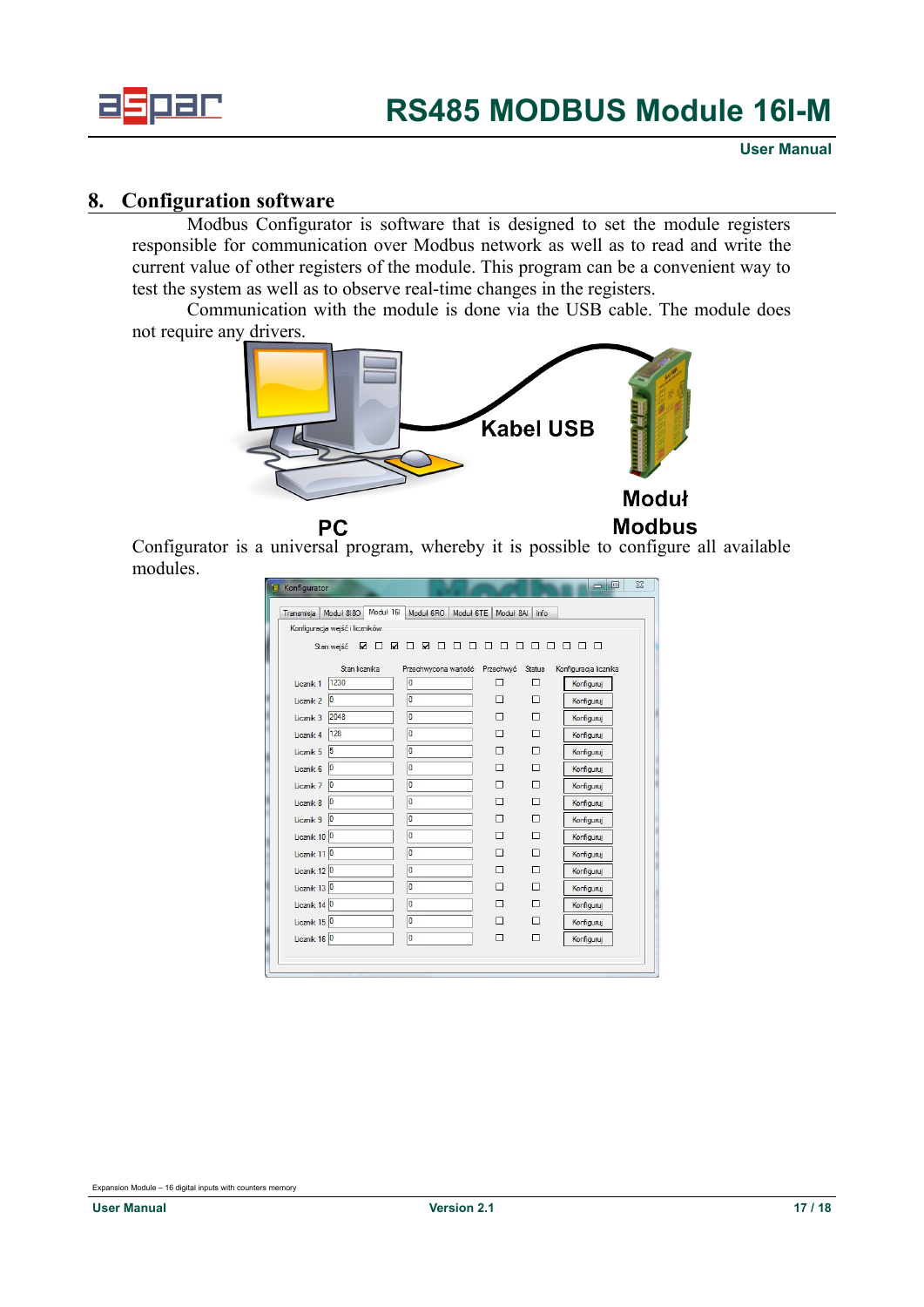

#### **8. Configuration software**

<span id="page-16-0"></span>Modbus Configurator is software that is designed to set the module registers responsible for communication over Modbus network as well as to read and write the current value of other registers of the module. This program can be a convenient way to test the system as well as to observe real-time changes in the registers.

Communication with the module is done via the USB cable. The module does not require any drivers.



Configurator is a universal program, whereby it is possible to configure all available modules.

| Konfigurator            |                                |                            |                |             | 回<br>$\equiv$                       |
|-------------------------|--------------------------------|----------------------------|----------------|-------------|-------------------------------------|
| Transmisja              | Moduł 161<br>Moduł 8180        | Moduł 6RO<br>Moduł 6TE     | Moduł 8AI      | Info        |                                     |
|                         | Konfiguracja wejść i liczników |                            |                |             |                                     |
|                         | ☑<br>☑<br>п<br>Stan wejść      | $\Box$<br>☑<br>П<br>П<br>п | П<br>П<br>п    | п           | П<br>П.<br>$\Box$<br>п              |
|                         |                                |                            |                |             |                                     |
| Licznik 1               | Stan licznika<br>1230          | Przechwycona wartość<br>o  | Przechwyć<br>П | Status<br>П | Konfiguracja licznika<br>Konfiguruj |
| Licznik <sub>2</sub>    | $\overline{0}$                 | O                          | П              | п           | Konfiguruj                          |
| Licznik <sub>3</sub>    | 2048                           | o                          | П              | п           | Konfiguruj                          |
| Licznik 4               | 128                            | o                          | П              | п           | Konfiguruj                          |
| Licznik 5               | $\vert$ <sub>5</sub>           | o                          | П              | п           | Konfiguruj                          |
| Licznik 6               | $ 0\rangle$                    | o                          | П              | п           | Konfiguruj                          |
| Licznik 7               | $ 0\rangle$                    | o                          | $\Box$         | п           | Konfiguruj                          |
| Licznik 8               | $\overline{0}$                 | O                          | $\Box$         | п           | Konfiguruj                          |
| Licznik 9               | $ 0\rangle$                    | o                          | П              | П           | Konfiguruj                          |
| Licznik 10 0            |                                | o                          | П              | п           | Konfiguruj                          |
| Licznik 11 0            |                                | o                          | П              | п           | Konfiguruj                          |
| Licznik 12 <sup>0</sup> |                                | O                          | П              | п           | Konfiguruj                          |
| Licznik 13 <sup>0</sup> |                                | O                          | $\Box$         | п           | Konfiguruj                          |
| Licznik 14 <sup>0</sup> |                                | O                          | $\Box$         | п           | Konfiguruj                          |
| Licznik 15 <sup>0</sup> |                                | o                          | П              | п           | Konfiguruj                          |
| Licznik 16 0            |                                | o                          | $\Box$         | п           | Konfiguruj                          |
|                         |                                |                            |                |             |                                     |